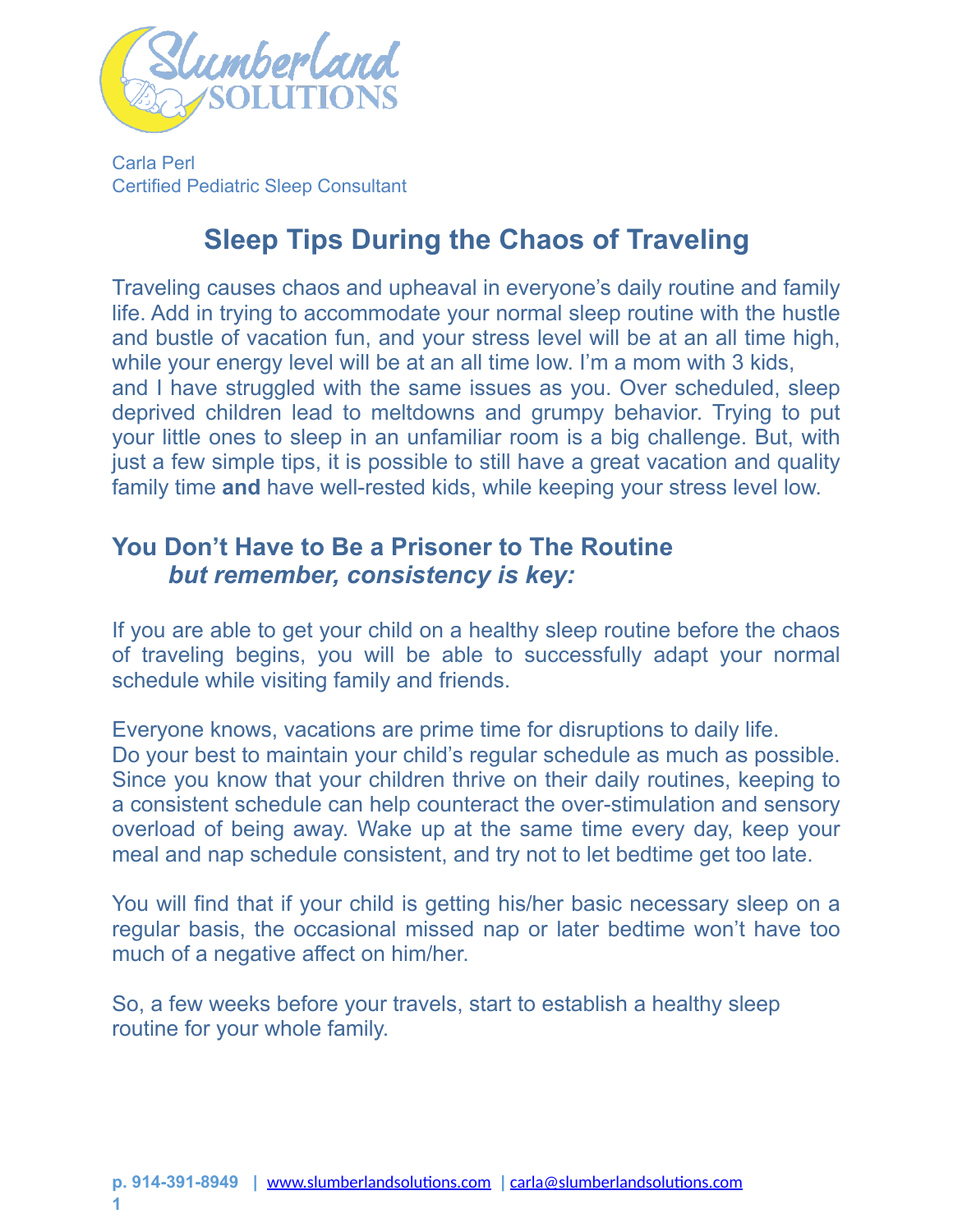

Carla Perl Certified Pediatric Sleep Consultant

# **Sleep Tips During the Chaos of Traveling**

Traveling causes chaos and upheaval in everyone's daily routine and family life. Add in trying to accommodate your normal sleep routine with the hustle and bustle of vacation fun, and your stress level will be at an all time high, while your energy level will be at an all time low. I'm a mom with 3 kids, and I have struggled with the same issues as you. Over scheduled, sleep deprived children lead to meltdowns and grumpy behavior. Trying to put your little ones to sleep in an unfamiliar room is a big challenge. But, with just a few simple tips, it is possible to still have a great vacation and quality family time **and** have well-rested kids, while keeping your stress level low.

### **You Don't Have to Be a Prisoner to The Routine**  *but remember, consistency is key:*

If you are able to get your child on a healthy sleep routine before the chaos of traveling begins, you will be able to successfully adapt your normal schedule while visiting family and friends.

Everyone knows, vacations are prime time for disruptions to daily life. Do your best to maintain your child's regular schedule as much as possible. Since you know that your children thrive on their daily routines, keeping to a consistent schedule can help counteract the over-stimulation and sensory overload of being away. Wake up at the same time every day, keep your meal and nap schedule consistent, and try not to let bedtime get too late.

You will find that if your child is getting his/her basic necessary sleep on a regular basis, the occasional missed nap or later bedtime won't have too much of a negative affect on him/her.

So, a few weeks before your travels, start to establish a healthy sleep routine for your whole family.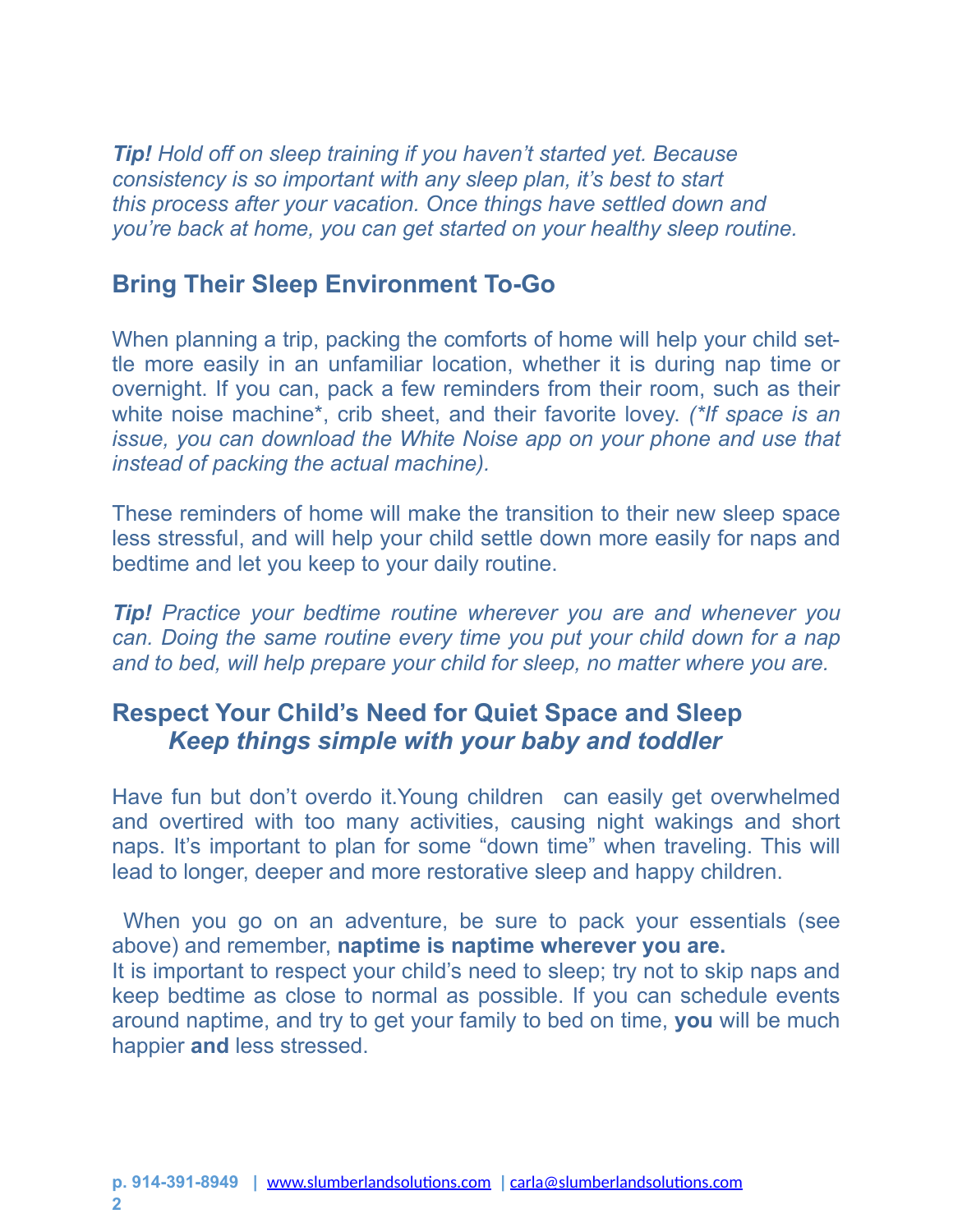*Tip! Hold off on sleep training if you haven't started yet. Because consistency is so important with any sleep plan, it's best to start this process after your vacation. Once things have settled down and you're back at home, you can get started on your healthy sleep routine.* 

#### **Bring Their Sleep Environment To-Go**

When planning a trip, packing the comforts of home will help your child settle more easily in an unfamiliar location, whether it is during nap time or overnight. If you can, pack a few reminders from their room, such as their white noise machine\*, crib sheet, and their favorite lovey. *(\*If space is an issue, you can download the White Noise app on your phone and use that instead of packing the actual machine).* 

These reminders of home will make the transition to their new sleep space less stressful, and will help your child settle down more easily for naps and bedtime and let you keep to your daily routine.

*Tip! Practice your bedtime routine wherever you are and whenever you can. Doing the same routine every time you put your child down for a nap and to bed, will help prepare your child for sleep, no matter where you are.*

# **Respect Your Child's Need for Quiet Space and Sleep** *Keep things simple with your baby and toddler*

Have fun but don't overdo it.Young children can easily get overwhelmed and overtired with too many activities, causing night wakings and short naps. It's important to plan for some "down time" when traveling. This will lead to longer, deeper and more restorative sleep and happy children.

 When you go on an adventure, be sure to pack your essentials (see above) and remember, **naptime is naptime wherever you are.**  It is important to respect your child's need to sleep; try not to skip naps and keep bedtime as close to normal as possible. If you can schedule events around naptime, and try to get your family to bed on time, **you** will be much happier **and** less stressed.